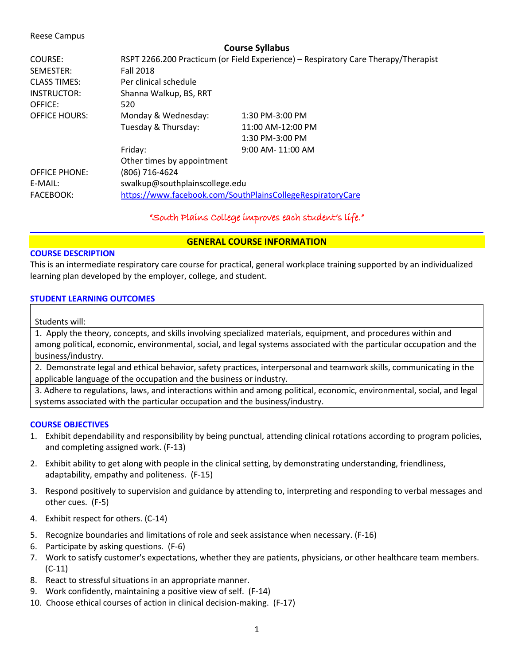#### Reese Campus

|                      | <b>Course Syllabus</b>                                                             |                       |
|----------------------|------------------------------------------------------------------------------------|-----------------------|
| COURSE:              | RSPT 2266.200 Practicum (or Field Experience) - Respiratory Care Therapy/Therapist |                       |
| SEMESTER:            | <b>Fall 2018</b>                                                                   |                       |
| <b>CLASS TIMES:</b>  | Per clinical schedule                                                              |                       |
| INSTRUCTOR:          | Shanna Walkup, BS, RRT                                                             |                       |
| OFFICE:              | 520                                                                                |                       |
| <b>OFFICE HOURS:</b> | Monday & Wednesday:                                                                | 1:30 PM-3:00 PM       |
|                      | Tuesday & Thursday:                                                                | 11:00 AM-12:00 PM     |
|                      |                                                                                    | 1:30 PM-3:00 PM       |
|                      | Friday:                                                                            | $9:00$ AM- $11:00$ AM |
|                      | Other times by appointment                                                         |                       |
| <b>OFFICE PHONE:</b> | (806) 716-4624                                                                     |                       |
| E-MAIL:              | swalkup@southplainscollege.edu                                                     |                       |
| <b>FACEBOOK:</b>     | https://www.facebook.com/SouthPlainsCollegeRespiratoryCare                         |                       |

"South Plains College improves each student's life."

## **GENERAL COURSE INFORMATION**

## **COURSE DESCRIPTION**

This is an intermediate respiratory care course for practical, general workplace training supported by an individualized learning plan developed by the employer, college, and student.

# **STUDENT LEARNING OUTCOMES**

Students will:

1. Apply the theory, concepts, and skills involving specialized materials, equipment, and procedures within and among political, economic, environmental, social, and legal systems associated with the particular occupation and the business/industry.

2. Demonstrate legal and ethical behavior, safety practices, interpersonal and teamwork skills, communicating in the applicable language of the occupation and the business or industry.

3. Adhere to regulations, laws, and interactions within and among political, economic, environmental, social, and legal systems associated with the particular occupation and the business/industry.

## **COURSE OBJECTIVES**

- 1. Exhibit dependability and responsibility by being punctual, attending clinical rotations according to program policies, and completing assigned work. (F-13)
- 2. Exhibit ability to get along with people in the clinical setting, by demonstrating understanding, friendliness, adaptability, empathy and politeness. (F-15)
- 3. Respond positively to supervision and guidance by attending to, interpreting and responding to verbal messages and other cues. (F-5)
- 4. Exhibit respect for others. (C-14)
- 5. Recognize boundaries and limitations of role and seek assistance when necessary. (F-16)
- 6. Participate by asking questions. (F-6)
- 7. Work to satisfy customer's expectations, whether they are patients, physicians, or other healthcare team members. (C-11)
- 8. React to stressful situations in an appropriate manner.
- 9. Work confidently, maintaining a positive view of self. (F-14)
- 10. Choose ethical courses of action in clinical decision-making. (F-17)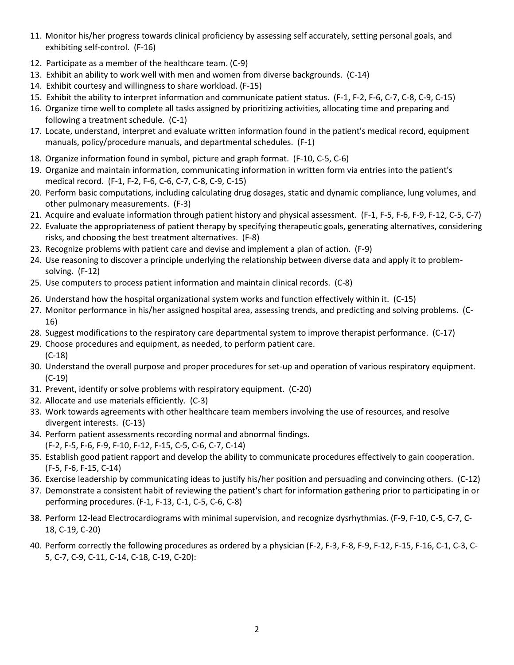- 11. Monitor his/her progress towards clinical proficiency by assessing self accurately, setting personal goals, and exhibiting self-control. (F-16)
- 12. Participate as a member of the healthcare team. (C-9)
- 13. Exhibit an ability to work well with men and women from diverse backgrounds. (C-14)
- 14. Exhibit courtesy and willingness to share workload. (F-15)
- 15. Exhibit the ability to interpret information and communicate patient status. (F-1, F-2, F-6, C-7, C-8, C-9, C-15)
- 16. Organize time well to complete all tasks assigned by prioritizing activities, allocating time and preparing and following a treatment schedule. (C-1)
- 17. Locate, understand, interpret and evaluate written information found in the patient's medical record, equipment manuals, policy/procedure manuals, and departmental schedules. (F-1)
- 18. Organize information found in symbol, picture and graph format. (F-10, C-5, C-6)
- 19. Organize and maintain information, communicating information in written form via entries into the patient's medical record. (F-1, F-2, F-6, C-6, C-7, C-8, C-9, C-15)
- 20. Perform basic computations, including calculating drug dosages, static and dynamic compliance, lung volumes, and other pulmonary measurements. (F-3)
- 21. Acquire and evaluate information through patient history and physical assessment. (F-1, F-5, F-6, F-9, F-12, C-5, C-7)
- 22. Evaluate the appropriateness of patient therapy by specifying therapeutic goals, generating alternatives, considering risks, and choosing the best treatment alternatives. (F-8)
- 23. Recognize problems with patient care and devise and implement a plan of action. (F-9)
- 24. Use reasoning to discover a principle underlying the relationship between diverse data and apply it to problemsolving. (F-12)
- 25. Use computers to process patient information and maintain clinical records. (C-8)
- 26. Understand how the hospital organizational system works and function effectively within it. (C-15)
- 27. Monitor performance in his/her assigned hospital area, assessing trends, and predicting and solving problems. (C-16)
- 28. Suggest modifications to the respiratory care departmental system to improve therapist performance. (C-17)
- 29. Choose procedures and equipment, as needed, to perform patient care. (C-18)
- 30. Understand the overall purpose and proper procedures for set-up and operation of various respiratory equipment. (C-19)
- 31. Prevent, identify or solve problems with respiratory equipment. (C-20)
- 32. Allocate and use materials efficiently. (C-3)
- 33. Work towards agreements with other healthcare team members involving the use of resources, and resolve divergent interests. (C-13)
- 34. Perform patient assessments recording normal and abnormal findings. (F-2, F-5, F-6, F-9, F-10, F-12, F-15, C-5, C-6, C-7, C-14)
- 35. Establish good patient rapport and develop the ability to communicate procedures effectively to gain cooperation. (F-5, F-6, F-15, C-14)
- 36. Exercise leadership by communicating ideas to justify his/her position and persuading and convincing others. (C-12)
- 37. Demonstrate a consistent habit of reviewing the patient's chart for information gathering prior to participating in or performing procedures. (F-1, F-13, C-1, C-5, C-6, C-8)
- 38. Perform 12-lead Electrocardiograms with minimal supervision, and recognize dysrhythmias. (F-9, F-10, C-5, C-7, C-18, C-19, C-20)
- 40. Perform correctly the following procedures as ordered by a physician (F-2, F-3, F-8, F-9, F-12, F-15, F-16, C-1, C-3, C-5, C-7, C-9, C-11, C-14, C-18, C-19, C-20):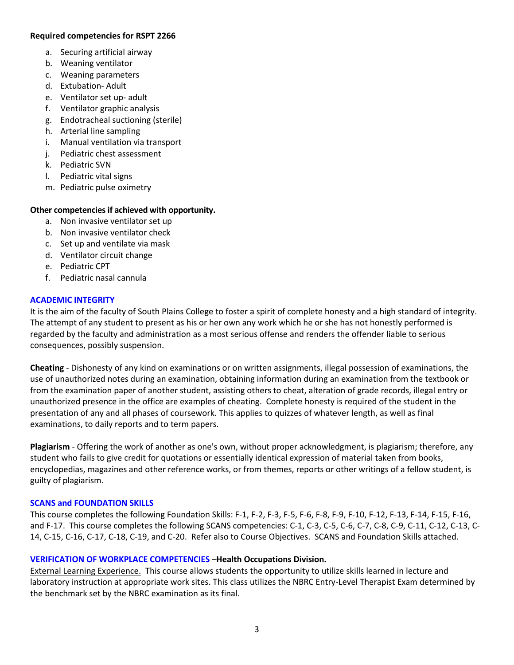## **Required competencies for RSPT 2266**

- a. Securing artificial airway
- b. Weaning ventilator
- c. Weaning parameters
- d. Extubation- Adult
- e. Ventilator set up- adult
- f. Ventilator graphic analysis
- g. Endotracheal suctioning (sterile)
- h. Arterial line sampling
- i. Manual ventilation via transport
- j. Pediatric chest assessment
- k. Pediatric SVN
- l. Pediatric vital signs
- m. Pediatric pulse oximetry

#### **Other competencies if achieved with opportunity.**

- a. Non invasive ventilator set up
- b. Non invasive ventilator check
- c. Set up and ventilate via mask
- d. Ventilator circuit change
- e. Pediatric CPT
- f. Pediatric nasal cannula

#### **ACADEMIC INTEGRITY**

It is the aim of the faculty of South Plains College to foster a spirit of complete honesty and a high standard of integrity. The attempt of any student to present as his or her own any work which he or she has not honestly performed is regarded by the faculty and administration as a most serious offense and renders the offender liable to serious consequences, possibly suspension.

**Cheating** - Dishonesty of any kind on examinations or on written assignments, illegal possession of examinations, the use of unauthorized notes during an examination, obtaining information during an examination from the textbook or from the examination paper of another student, assisting others to cheat, alteration of grade records, illegal entry or unauthorized presence in the office are examples of cheating. Complete honesty is required of the student in the presentation of any and all phases of coursework. This applies to quizzes of whatever length, as well as final examinations, to daily reports and to term papers.

**Plagiarism** - Offering the work of another as one's own, without proper acknowledgment, is plagiarism; therefore, any student who fails to give credit for quotations or essentially identical expression of material taken from books, encyclopedias, magazines and other reference works, or from themes, reports or other writings of a fellow student, is guilty of plagiarism.

#### **SCANS and FOUNDATION SKILLS**

This course completes the following Foundation Skills: F-1, F-2, F-3, F-5, F-6, F-8, F-9, F-10, F-12, F-13, F-14, F-15, F-16, and F-17. This course completes the following SCANS competencies: C-1, C-3, C-5, C-6, C-7, C-8, C-9, C-11, C-12, C-13, C-14, C-15, C-16, C-17, C-18, C-19, and C-20. Refer also to Course Objectives. SCANS and Foundation Skills attached.

## **VERIFICATION OF WORKPLACE COMPETENCIES** –**Health Occupations Division.**

External Learning Experience. This course allows students the opportunity to utilize skills learned in lecture and laboratory instruction at appropriate work sites. This class utilizes the NBRC Entry-Level Therapist Exam determined by the benchmark set by the NBRC examination as its final.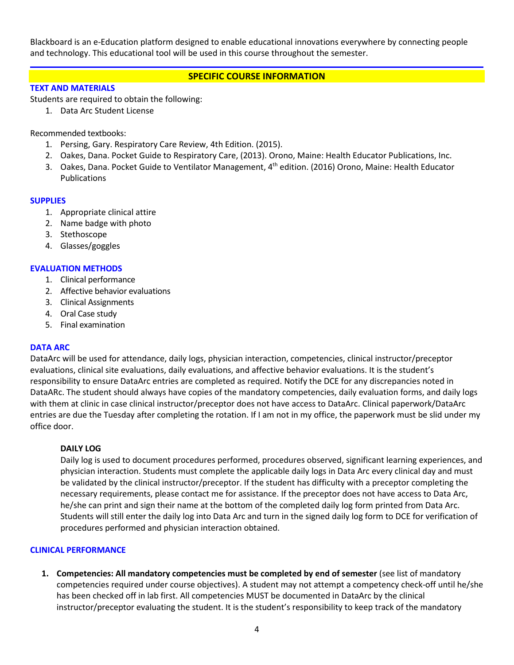Blackboard is an e-Education platform designed to enable educational innovations everywhere by connecting people and technology. This educational tool will be used in this course throughout the semester.

# **SPECIFIC COURSE INFORMATION**

#### **TEXT AND MATERIALS**

Students are required to obtain the following:

1. Data Arc Student License

Recommended textbooks:

- 1. Persing, Gary. Respiratory Care Review, 4th Edition. (2015).
- 2. Oakes, Dana. Pocket Guide to Respiratory Care, (2013). Orono, Maine: Health Educator Publications, Inc.
- 3. Oakes, Dana. Pocket Guide to Ventilator Management, 4th edition. (2016) Orono, Maine: Health Educator Publications

#### **SUPPLIES**

- 1. Appropriate clinical attire
- 2. Name badge with photo
- 3. Stethoscope
- 4. Glasses/goggles

## **EVALUATION METHODS**

- 1. Clinical performance
- 2. Affective behavior evaluations
- 3. Clinical Assignments
- 4. Oral Case study
- 5. Final examination

## **DATA ARC**

DataArc will be used for attendance, daily logs, physician interaction, competencies, clinical instructor/preceptor evaluations, clinical site evaluations, daily evaluations, and affective behavior evaluations. It is the student's responsibility to ensure DataArc entries are completed as required. Notify the DCE for any discrepancies noted in DataARc. The student should always have copies of the mandatory competencies, daily evaluation forms, and daily logs with them at clinic in case clinical instructor/preceptor does not have access to DataArc. Clinical paperwork/DataArc entries are due the Tuesday after completing the rotation. If I am not in my office, the paperwork must be slid under my office door.

## **DAILY LOG**

Daily log is used to document procedures performed, procedures observed, significant learning experiences, and physician interaction. Students must complete the applicable daily logs in Data Arc every clinical day and must be validated by the clinical instructor/preceptor. If the student has difficulty with a preceptor completing the necessary requirements, please contact me for assistance. If the preceptor does not have access to Data Arc, he/she can print and sign their name at the bottom of the completed daily log form printed from Data Arc. Students will still enter the daily log into Data Arc and turn in the signed daily log form to DCE for verification of procedures performed and physician interaction obtained.

## **CLINICAL PERFORMANCE**

**1. Competencies: All mandatory competencies must be completed by end of semester** (see list of mandatory competencies required under course objectives). A student may not attempt a competency check-off until he/she has been checked off in lab first. All competencies MUST be documented in DataArc by the clinical instructor/preceptor evaluating the student. It is the student's responsibility to keep track of the mandatory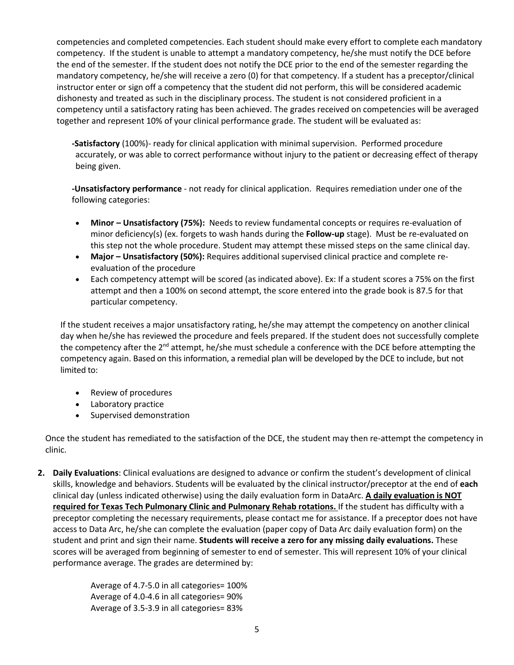competencies and completed competencies. Each student should make every effort to complete each mandatory competency. If the student is unable to attempt a mandatory competency, he/she must notify the DCE before the end of the semester. If the student does not notify the DCE prior to the end of the semester regarding the mandatory competency, he/she will receive a zero (0) for that competency. If a student has a preceptor/clinical instructor enter or sign off a competency that the student did not perform, this will be considered academic dishonesty and treated as such in the disciplinary process. The student is not considered proficient in a competency until a satisfactory rating has been achieved. The grades received on competencies will be averaged together and represent 10% of your clinical performance grade. The student will be evaluated as:

**-Satisfactory** (100%)- ready for clinical application with minimal supervision. Performed procedure accurately, or was able to correct performance without injury to the patient or decreasing effect of therapy being given.

**-Unsatisfactory performance** - not ready for clinical application. Requires remediation under one of the following categories:

- **Minor – Unsatisfactory (75%):** Needs to review fundamental concepts or requires re-evaluation of minor deficiency(s) (ex. forgets to wash hands during the **Follow-up** stage). Must be re-evaluated on this step not the whole procedure. Student may attempt these missed steps on the same clinical day.
- **Major – Unsatisfactory (50%):** Requires additional supervised clinical practice and complete reevaluation of the procedure
- Each competency attempt will be scored (as indicated above). Ex: If a student scores a 75% on the first attempt and then a 100% on second attempt, the score entered into the grade book is 87.5 for that particular competency.

If the student receives a major unsatisfactory rating, he/she may attempt the competency on another clinical day when he/she has reviewed the procedure and feels prepared. If the student does not successfully complete the competency after the 2<sup>nd</sup> attempt, he/she must schedule a conference with the DCE before attempting the competency again. Based on this information, a remedial plan will be developed by the DCE to include, but not limited to:

- Review of procedures
- Laboratory practice
- Supervised demonstration

Once the student has remediated to the satisfaction of the DCE, the student may then re-attempt the competency in clinic.

**2. Daily Evaluations**: Clinical evaluations are designed to advance or confirm the student's development of clinical skills, knowledge and behaviors. Students will be evaluated by the clinical instructor/preceptor at the end of **each**  clinical day (unless indicated otherwise) using the daily evaluation form in DataArc. **A daily evaluation is NOT required for Texas Tech Pulmonary Clinic and Pulmonary Rehab rotations.** If the student has difficulty with a preceptor completing the necessary requirements, please contact me for assistance. If a preceptor does not have access to Data Arc, he/she can complete the evaluation (paper copy of Data Arc daily evaluation form) on the student and print and sign their name. **Students will receive a zero for any missing daily evaluations.** These scores will be averaged from beginning of semester to end of semester. This will represent 10% of your clinical performance average. The grades are determined by:

> Average of 4.7-5.0 in all categories= 100% Average of 4.0-4.6 in all categories= 90% Average of 3.5-3.9 in all categories= 83%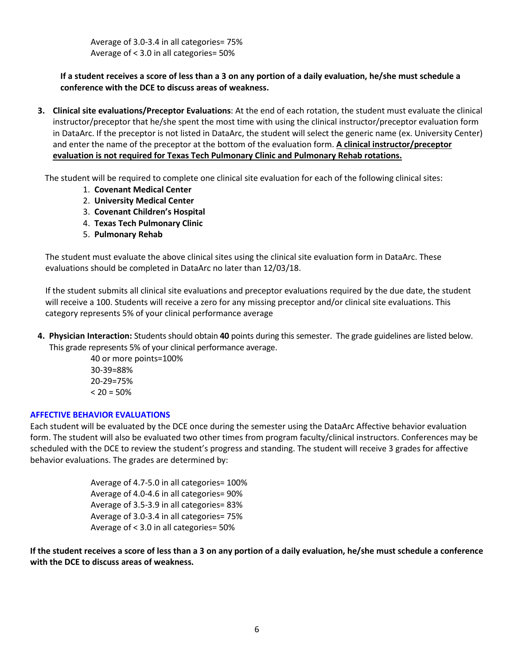Average of 3.0-3.4 in all categories= 75% Average of < 3.0 in all categories= 50%

# **If a student receives a score of less than a 3 on any portion of a daily evaluation, he/she must schedule a conference with the DCE to discuss areas of weakness.**

**3. Clinical site evaluations/Preceptor Evaluations**: At the end of each rotation, the student must evaluate the clinical instructor/preceptor that he/she spent the most time with using the clinical instructor/preceptor evaluation form in DataArc. If the preceptor is not listed in DataArc, the student will select the generic name (ex. University Center) and enter the name of the preceptor at the bottom of the evaluation form. **A clinical instructor/preceptor evaluation is not required for Texas Tech Pulmonary Clinic and Pulmonary Rehab rotations.**

The student will be required to complete one clinical site evaluation for each of the following clinical sites:

- 1. **Covenant Medical Center**
- 2. **University Medical Center**
- 3. **Covenant Children's Hospital**
- 4. **Texas Tech Pulmonary Clinic**
- 5. **Pulmonary Rehab**

The student must evaluate the above clinical sites using the clinical site evaluation form in DataArc. These evaluations should be completed in DataArc no later than 12/03/18.

If the student submits all clinical site evaluations and preceptor evaluations required by the due date, the student will receive a 100. Students will receive a zero for any missing preceptor and/or clinical site evaluations. This category represents 5% of your clinical performance average

**4. Physician Interaction:** Students should obtain **40** points during this semester. The grade guidelines are listed below. This grade represents 5% of your clinical performance average.

> 40 or more points=100% 30-39=88% 20-29=75%  $< 20 = 50%$

## **AFFECTIVE BEHAVIOR EVALUATIONS**

Each student will be evaluated by the DCE once during the semester using the DataArc Affective behavior evaluation form. The student will also be evaluated two other times from program faculty/clinical instructors. Conferences may be scheduled with the DCE to review the student's progress and standing. The student will receive 3 grades for affective behavior evaluations. The grades are determined by:

> Average of 4.7-5.0 in all categories= 100% Average of 4.0-4.6 in all categories= 90% Average of 3.5-3.9 in all categories= 83% Average of 3.0-3.4 in all categories= 75% Average of < 3.0 in all categories= 50%

**If the student receives a score of less than a 3 on any portion of a daily evaluation, he/she must schedule a conference with the DCE to discuss areas of weakness.**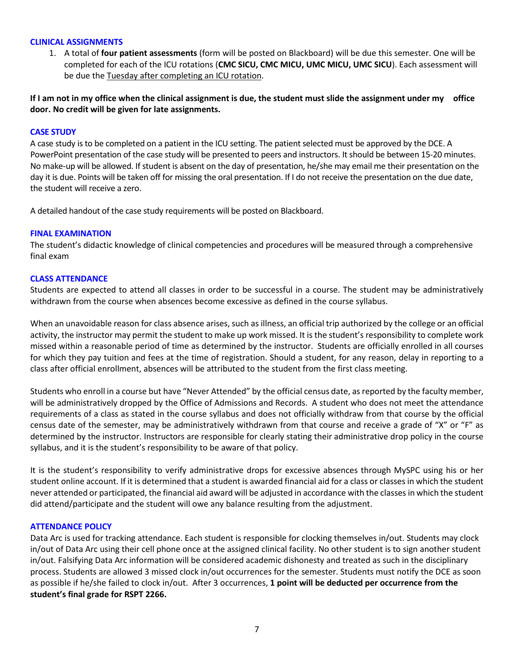#### **CLINICAL ASSIGNMENTS**

1. A total of **four patient assessments** (form will be posted on Blackboard) will be due this semester. One will be completed for each of the ICU rotations (**CMC SICU, CMC MICU, UMC MICU, UMC SICU**). Each assessment will be due the Tuesday after completing an ICU rotation.

**If I am not in my office when the clinical assignment is due, the student must slide the assignment under my office door. No credit will be given for late assignments.**

#### **CASE STUDY**

A case study is to be completed on a patient in the ICU setting. The patient selected must be approved by the DCE. A PowerPoint presentation of the case study will be presented to peers and instructors. It should be between 15-20 minutes. No make-up will be allowed. If student is absent on the day of presentation, he/she may email me their presentation on the day it is due. Points will be taken off for missing the oral presentation. If I do not receive the presentation on the due date, the student will receive a zero.

A detailed handout of the case study requirements will be posted on Blackboard.

#### **FINAL EXAMINATION**

The student's didactic knowledge of clinical competencies and procedures will be measured through a comprehensive final exam

#### **CLASS ATTENDANCE**

Students are expected to attend all classes in order to be successful in a course. The student may be administratively withdrawn from the course when absences become excessive as defined in the course syllabus.

When an unavoidable reason for class absence arises, such as illness, an official trip authorized by the college or an official activity, the instructor may permit the student to make up work missed. It is the student's responsibility to complete work missed within a reasonable period of time as determined by the instructor. Students are officially enrolled in all courses for which they pay tuition and fees at the time of registration. Should a student, for any reason, delay in reporting to a class after official enrollment, absences will be attributed to the student from the first class meeting.

Students who enroll in a course but have "Never Attended" by the official census date, as reported by the faculty member, will be administratively dropped by the Office of Admissions and Records. A student who does not meet the attendance requirements of a class as stated in the course syllabus and does not officially withdraw from that course by the official census date of the semester, may be administratively withdrawn from that course and receive a grade of "X" or "F" as determined by the instructor. Instructors are responsible for clearly stating their administrative drop policy in the course syllabus, and it is the student's responsibility to be aware of that policy.

It is the student's responsibility to verify administrative drops for excessive absences through MySPC using his or her student online account. If it is determined that a student is awarded financial aid for a class or classes in which the student never attended or participated, the financial aid award will be adjusted in accordance with the classes in which the student did attend/participate and the student will owe any balance resulting from the adjustment.

# **ATTENDANCE POLICY**

Data Arc is used for tracking attendance. Each student is responsible for clocking themselves in/out. Students may clock in/out of Data Arc using their cell phone once at the assigned clinical facility. No other student is to sign another student in/out. Falsifying Data Arc information will be considered academic dishonesty and treated as such in the disciplinary process. Students are allowed 3 missed clock in/out occurrences for the semester. Students must notify the DCE as soon as possible if he/she failed to clock in/out. After 3 occurrences, **1 point will be deducted per occurrence from the student's final grade for RSPT 2266.**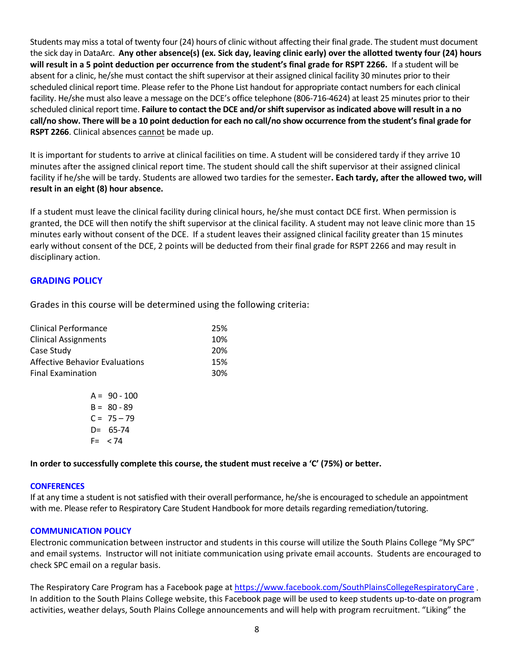Students may miss a total of twenty four (24) hours of clinic without affecting their final grade. The student must document the sick day in DataArc. **Any other absence(s) (ex. Sick day, leaving clinic early) over the allotted twenty four (24) hours will result in a 5 point deduction per occurrence from the student's final grade for RSPT 2266.** If a student will be absent for a clinic, he/she must contact the shift supervisor at their assigned clinical facility 30 minutes prior to their scheduled clinical report time. Please refer to the Phone List handout for appropriate contact numbers for each clinical facility. He/she must also leave a message on the DCE's office telephone (806-716-4624) at least 25 minutes prior to their scheduled clinical report time. **Failure to contact the DCE and/or shift supervisor as indicated above will result in a no call/no show. There will be a 10 point deduction for each no call/no show occurrence from the student's final grade for RSPT 2266**. Clinical absences cannot be made up.

It is important for students to arrive at clinical facilities on time. A student will be considered tardy if they arrive 10 minutes after the assigned clinical report time. The student should call the shift supervisor at their assigned clinical facility if he/she will be tardy. Students are allowed two tardies for the semester**. Each tardy, after the allowed two, will result in an eight (8) hour absence.** 

If a student must leave the clinical facility during clinical hours, he/she must contact DCE first. When permission is granted, the DCE will then notify the shift supervisor at the clinical facility. A student may not leave clinic more than 15 minutes early without consent of the DCE. If a student leaves their assigned clinical facility greater than 15 minutes early without consent of the DCE, 2 points will be deducted from their final grade for RSPT 2266 and may result in disciplinary action.

# **GRADING POLICY**

Grades in this course will be determined using the following criteria:

| <b>Clinical Performance</b>           | 25% |
|---------------------------------------|-----|
| <b>Clinical Assignments</b>           | 10% |
| Case Study                            | 20% |
| <b>Affective Behavior Evaluations</b> | 15% |
| <b>Final Examination</b>              | 30% |
|                                       |     |

|      | $A = 90 - 100$ |
|------|----------------|
|      | $B = 80 - 89$  |
|      | $C = 75 - 79$  |
| D=   | 65-74          |
| F= l | 74 >           |

**In order to successfully complete this course, the student must receive a 'C' (75%) or better.**

## **CONFERENCES**

If at any time a student is not satisfied with their overall performance, he/she is encouraged to schedule an appointment with me. Please refer to Respiratory Care Student Handbook for more details regarding remediation/tutoring.

## **COMMUNICATION POLICY**

Electronic communication between instructor and students in this course will utilize the South Plains College "My SPC" and email systems. Instructor will not initiate communication using private email accounts. Students are encouraged to check SPC email on a regular basis.

The Respiratory Care Program has a Facebook page at <https://www.facebook.com/SouthPlainsCollegeRespiratoryCare> . In addition to the South Plains College website, this Facebook page will be used to keep students up-to-date on program activities, weather delays, South Plains College announcements and will help with program recruitment. "Liking" the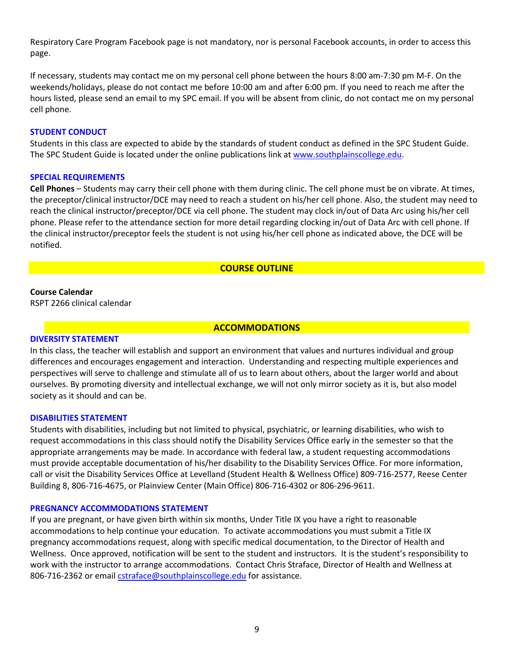Respiratory Care Program Facebook page is not mandatory, nor is personal Facebook accounts, in order to access this page.

If necessary, students may contact me on my personal cell phone between the hours 8:00 am-7:30 pm M-F. On the weekends/holidays, please do not contact me before 10:00 am and after 6:00 pm. If you need to reach me after the hours listed, please send an email to my SPC email. If you will be absent from clinic, do not contact me on my personal cell phone.

#### **STUDENT CONDUCT**

Students in this class are expected to abide by the standards of student conduct as defined in the SPC Student Guide. The SPC Student Guide is located under the online publications link at [www.southplainscollege.edu.](http://www.southplainscollege.edu/)

#### **SPECIAL REQUIREMENTS**

**Cell Phones** – Students may carry their cell phone with them during clinic. The cell phone must be on vibrate. At times, the preceptor/clinical instructor/DCE may need to reach a student on his/her cell phone. Also, the student may need to reach the clinical instructor/preceptor/DCE via cell phone. The student may clock in/out of Data Arc using his/her cell phone. Please refer to the attendance section for more detail regarding clocking in/out of Data Arc with cell phone. If the clinical instructor/preceptor feels the student is not using his/her cell phone as indicated above, the DCE will be notified.

#### **COURSE OUTLINE**

## **Course Calendar**

RSPT 2266 clinical calendar

#### **ACCOMMODATIONS**

#### **DIVERSITY STATEMENT**

In this class, the teacher will establish and support an environment that values and nurtures individual and group differences and encourages engagement and interaction. Understanding and respecting multiple experiences and perspectives will serve to challenge and stimulate all of us to learn about others, about the larger world and about ourselves. By promoting diversity and intellectual exchange, we will not only mirror society as it is, but also model society as it should and can be.

#### **DISABILITIES STATEMENT**

Students with disabilities, including but not limited to physical, psychiatric, or learning disabilities, who wish to request accommodations in this class should notify the Disability Services Office early in the semester so that the appropriate arrangements may be made. In accordance with federal law, a student requesting accommodations must provide acceptable documentation of his/her disability to the Disability Services Office. For more information, call or visit the Disability Services Office at Levelland (Student Health & Wellness Office) 809-716-2577, Reese Center Building 8, 806-716-4675, or Plainview Center (Main Office) 806-716-4302 or 806-296-9611.

#### **PREGNANCY ACCOMMODATIONS STATEMENT**

If you are pregnant, or have given birth within six months, Under Title IX you have a right to reasonable accommodations to help continue your education. To activate accommodations you must submit a Title IX pregnancy accommodations request, along with specific medical documentation, to the Director of Health and Wellness. Once approved, notification will be sent to the student and instructors. It is the student's responsibility to work with the instructor to arrange accommodations. Contact Chris Straface, Director of Health and Wellness at 806-716-2362 or email [cstraface@southplainscollege.edu](mailto:cstraface@southplainscollege.edu) for assistance.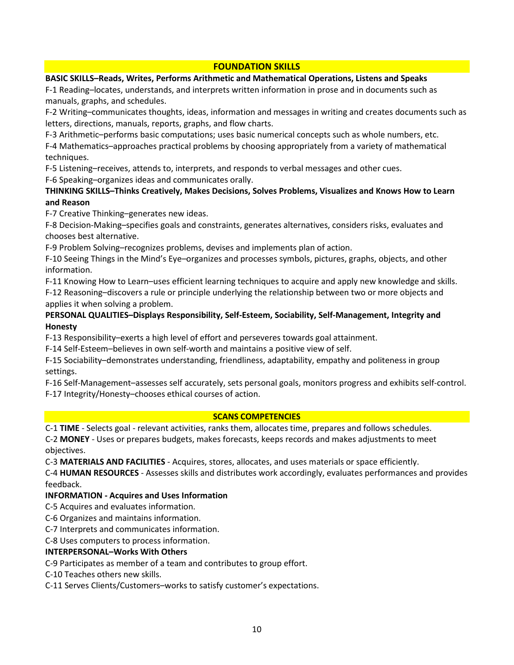# **FOUNDATION SKILLS**

## **BASIC SKILLS–Reads, Writes, Performs Arithmetic and Mathematical Operations, Listens and Speaks**

F-1 Reading–locates, understands, and interprets written information in prose and in documents such as manuals, graphs, and schedules.

F-2 Writing–communicates thoughts, ideas, information and messages in writing and creates documents such as letters, directions, manuals, reports, graphs, and flow charts.

F-3 Arithmetic–performs basic computations; uses basic numerical concepts such as whole numbers, etc.

F-4 Mathematics–approaches practical problems by choosing appropriately from a variety of mathematical techniques.

F-5 Listening–receives, attends to, interprets, and responds to verbal messages and other cues.

F-6 Speaking–organizes ideas and communicates orally.

# **THINKING SKILLS–Thinks Creatively, Makes Decisions, Solves Problems, Visualizes and Knows How to Learn and Reason**

F-7 Creative Thinking–generates new ideas.

F-8 Decision-Making–specifies goals and constraints, generates alternatives, considers risks, evaluates and chooses best alternative.

F-9 Problem Solving–recognizes problems, devises and implements plan of action.

F-10 Seeing Things in the Mind's Eye–organizes and processes symbols, pictures, graphs, objects, and other information.

F-11 Knowing How to Learn–uses efficient learning techniques to acquire and apply new knowledge and skills.

F-12 Reasoning–discovers a rule or principle underlying the relationship between two or more objects and applies it when solving a problem.

# **PERSONAL QUALITIES–Displays Responsibility, Self-Esteem, Sociability, Self-Management, Integrity and Honesty**

F-13 Responsibility–exerts a high level of effort and perseveres towards goal attainment.

F-14 Self-Esteem–believes in own self-worth and maintains a positive view of self.

F-15 Sociability–demonstrates understanding, friendliness, adaptability, empathy and politeness in group settings.

F-16 Self-Management–assesses self accurately, sets personal goals, monitors progress and exhibits self-control. F-17 Integrity/Honesty–chooses ethical courses of action.

## **SCANS COMPETENCIES**

C-1 **TIME** - Selects goal - relevant activities, ranks them, allocates time, prepares and follows schedules. C-2 **MONEY** - Uses or prepares budgets, makes forecasts, keeps records and makes adjustments to meet

objectives.

C-3 **MATERIALS AND FACILITIES** - Acquires, stores, allocates, and uses materials or space efficiently.

C-4 **HUMAN RESOURCES** - Assesses skills and distributes work accordingly, evaluates performances and provides feedback.

# **INFORMATION - Acquires and Uses Information**

C-5 Acquires and evaluates information.

C-6 Organizes and maintains information.

C-7 Interprets and communicates information.

C-8 Uses computers to process information.

## **INTERPERSONAL–Works With Others**

C-9 Participates as member of a team and contributes to group effort.

C-10 Teaches others new skills.

C-11 Serves Clients/Customers–works to satisfy customer's expectations.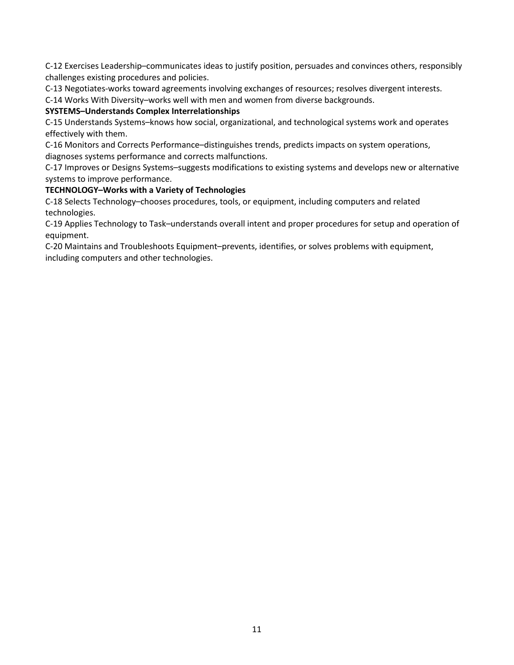C-12 Exercises Leadership–communicates ideas to justify position, persuades and convinces others, responsibly challenges existing procedures and policies.

C-13 Negotiates-works toward agreements involving exchanges of resources; resolves divergent interests.

C-14 Works With Diversity–works well with men and women from diverse backgrounds.

# **SYSTEMS–Understands Complex Interrelationships**

C-15 Understands Systems–knows how social, organizational, and technological systems work and operates effectively with them.

C-16 Monitors and Corrects Performance–distinguishes trends, predicts impacts on system operations, diagnoses systems performance and corrects malfunctions.

C-17 Improves or Designs Systems–suggests modifications to existing systems and develops new or alternative systems to improve performance.

# **TECHNOLOGY–Works with a Variety of Technologies**

C-18 Selects Technology–chooses procedures, tools, or equipment, including computers and related technologies.

C-19 Applies Technology to Task–understands overall intent and proper procedures for setup and operation of equipment.

C-20 Maintains and Troubleshoots Equipment–prevents, identifies, or solves problems with equipment, including computers and other technologies.